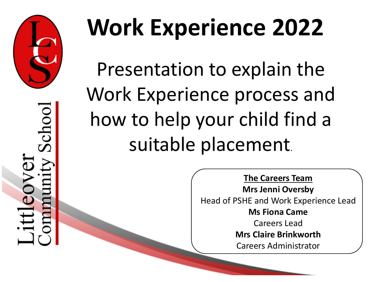

School  $E$ 

# **Work Experience 2022**

Presentation to explain the Work Experience process and how to help your child find a suitable placement.

> **The Careers Team Mrs Jenni Oversby** Head of PSHE and Work Experience Lead **Ms Fiona Came** Careers Lead **Mrs Claire Brinkworth** Careers Administrator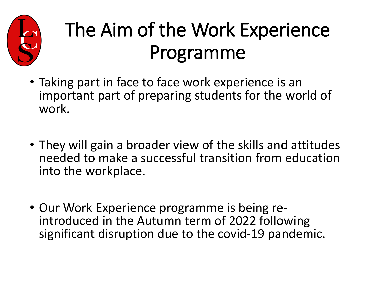

#### The Aim of the Work Experience Programme

- Taking part in face to face work experience is an important part of preparing students for the world of work.
- They will gain a broader view of the skills and attitudes needed to make a successful transition from education into the workplace.
- Our Work Experience programme is being re- introduced in the Autumn term of 2022 following significant disruption due to the covid-19 pandemic.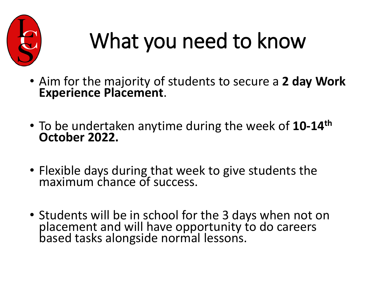

## What you need to know

- Aim for the majority of students to secure a **2 day Work Experience Placement**.
- To be undertaken anytime during the week of **10-14th October 2022.**
- Flexible days during that week to give students the maximum chance of success.
- Students will be in school for the 3 days when not on placement and will have opportunity to do careers based tasks alongside normal lessons.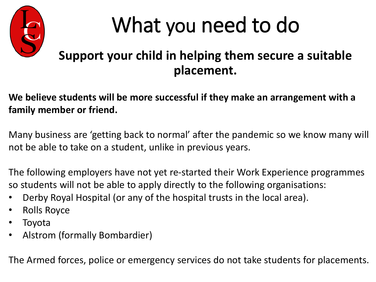

#### What you need to do

#### **Support your child in helping them secure a suitable placement.**

#### **We believe students will be more successful if they make an arrangement with a family member or friend.**

Many business are 'getting back to normal' after the pandemic so we know many will not be able to take on a student, unlike in previous years.

The following employers have not yet re-started their Work Experience programmes so students will not be able to apply directly to the following organisations:

- Derby Royal Hospital (or any of the hospital trusts in the local area).
- Rolls Royce
- **Toyota**
- Alstrom (formally Bombardier)

The Armed forces, police or emergency services do not take students for placements.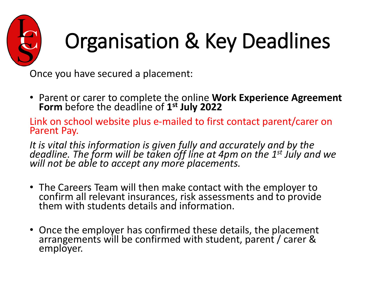

## Organisation & Key Deadlines

Once you have secured a placement:

• Parent or carer to complete the online **Work Experience Agreement Form** before the deadline of **1st July 2022**

Link on school website plus e-mailed to first contact parent/carer on Parent Pay.

*It is vital this information is given fully and accurately and by the deadline. The form will be taken off line at 4pm on the 1st July and we will not be able to accept any more placements.*

- The Careers Team will then make contact with the employer to confirm all relevant insurances, risk assessments and to provide them with students details and information.
- Once the employer has confirmed these details, the placement arrangements will be confirmed with student, parent / carer & employer.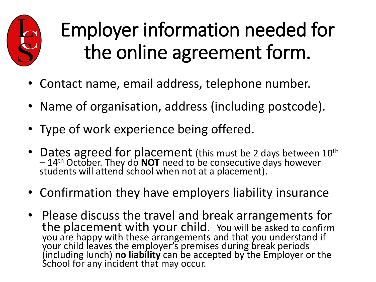

#### Employer information needed for the online agreement form.

- Contact name, email address, telephone number.
- Name of organisation, address (including postcode).
- Type of work experience being offered.
- Dates agreed for placement (this must be 2 days between 10<sup>th</sup> – 14<sup>th</sup> October. They do **NOT** need to be consecutive days however<br>students will attend school when not at a placement).
- Confirmation they have employers liability insurance
- Please discuss the travel and break arrangements for the placement with your child. You will be asked to confirm you are happy with these arrangements and that you understand if your child leaves the employer's premises during break periods (including lunch) **no liability** can be accepted by the Employer or the School for any incident that may occur.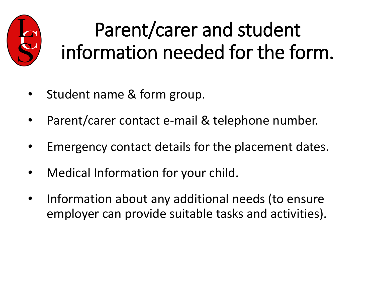

#### Parent/carer and student information needed for the form.

- Student name & form group.
- Parent/carer contact e-mail & telephone number.
- Emergency contact details for the placement dates.
- Medical Information for your child.
- Information about any additional needs (to ensure employer can provide suitable tasks and activities).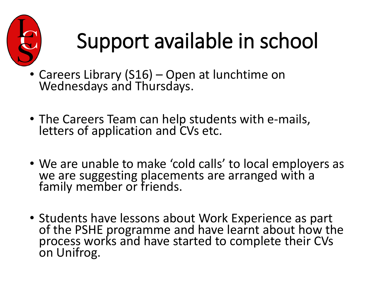

## Support available in school

- Careers Library (S16) Open at lunchtime on Wednesdays and Thursdays.
- The Careers Team can help students with e-mails, letters of application and CVs etc.
- We are unable to make 'cold calls' to local employers as we are suggesting placements are arranged with a family member or friends.
- Students have lessons about Work Experience as part of the PSHE programme and have learnt about how the process works and have started to complete their CVs on Unifrog.